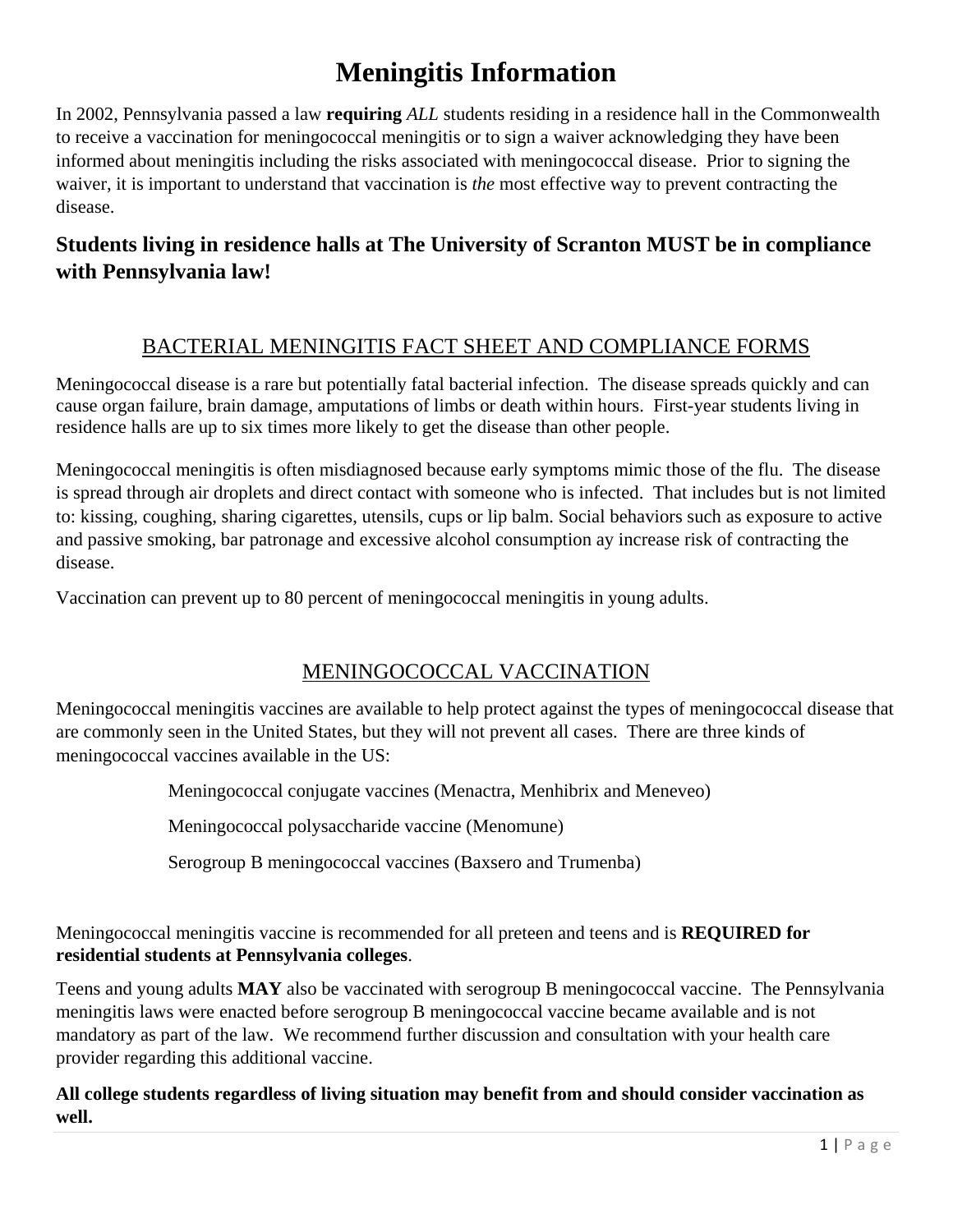# **Meningitis Information**

In 2002, Pennsylvania passed a law **requiring** *ALL* students residing in a residence hall in the Commonwealth to receive a vaccination for meningococcal meningitis or to sign a waiver acknowledging they have been informed about meningitis including the risks associated with meningococcal disease. Prior to signing the waiver, it is important to understand that vaccination is *the* most effective way to prevent contracting the disease.

## **Students living in residence halls at The University of Scranton MUST be in compliance with Pennsylvania law!**

### BACTERIAL MENINGITIS FACT SHEET AND COMPLIANCE FORMS

Meningococcal disease is a rare but potentially fatal bacterial infection. The disease spreads quickly and can cause organ failure, brain damage, amputations of limbs or death within hours. First-year students living in residence halls are up to six times more likely to get the disease than other people.

Meningococcal meningitis is often misdiagnosed because early symptoms mimic those of the flu. The disease is spread through air droplets and direct contact with someone who is infected. That includes but is not limited to: kissing, coughing, sharing cigarettes, utensils, cups or lip balm. Social behaviors such as exposure to active and passive smoking, bar patronage and excessive alcohol consumption ay increase risk of contracting the disease.

Vaccination can prevent up to 80 percent of meningococcal meningitis in young adults.

### MENINGOCOCCAL VACCINATION

Meningococcal meningitis vaccines are available to help protect against the types of meningococcal disease that are commonly seen in the United States, but they will not prevent all cases. There are three kinds of meningococcal vaccines available in the US:

Meningococcal conjugate vaccines (Menactra, Menhibrix and Meneveo)

Meningococcal polysaccharide vaccine (Menomune)

Serogroup B meningococcal vaccines (Baxsero and Trumenba)

Meningococcal meningitis vaccine is recommended for all preteen and teens and is **REQUIRED for residential students at Pennsylvania colleges**.

Teens and young adults **MAY** also be vaccinated with serogroup B meningococcal vaccine. The Pennsylvania meningitis laws were enacted before serogroup B meningococcal vaccine became available and is not mandatory as part of the law. We recommend further discussion and consultation with your health care provider regarding this additional vaccine.

#### **All college students regardless of living situation may benefit from and should consider vaccination as well.**